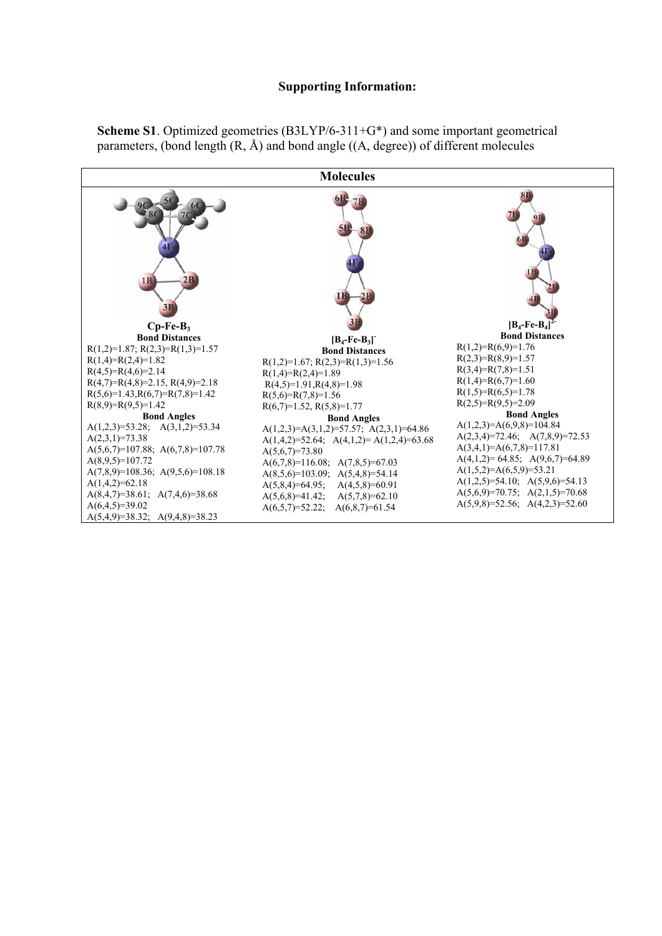

**Scheme S1**. Optimized geometries (B3LYP/6-311+G\*) and some important geometrical parameters, (bond length  $(R, \hat{A})$  and bond angle  $((A, degree))$  of different molecules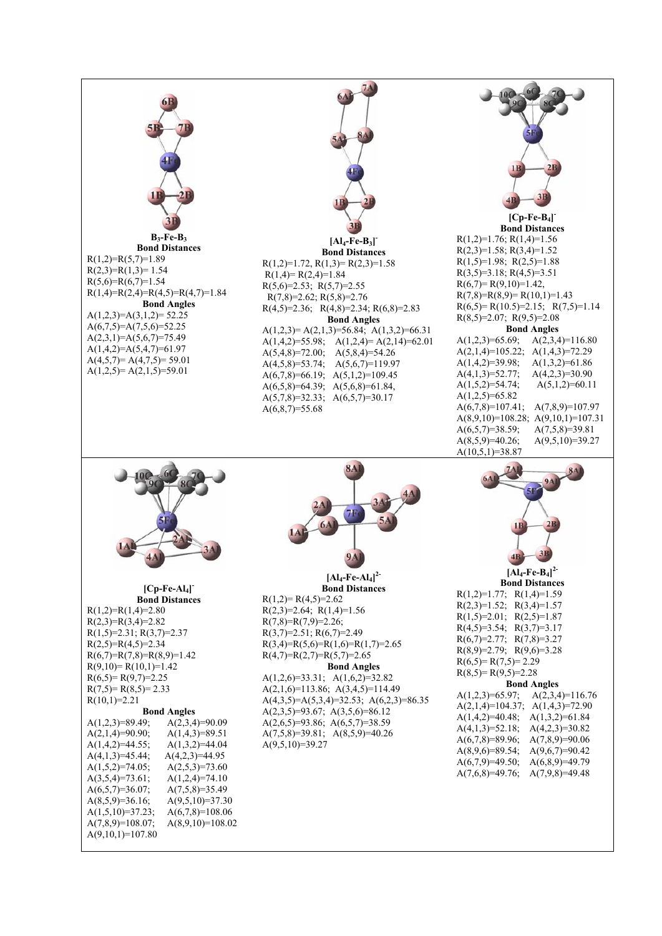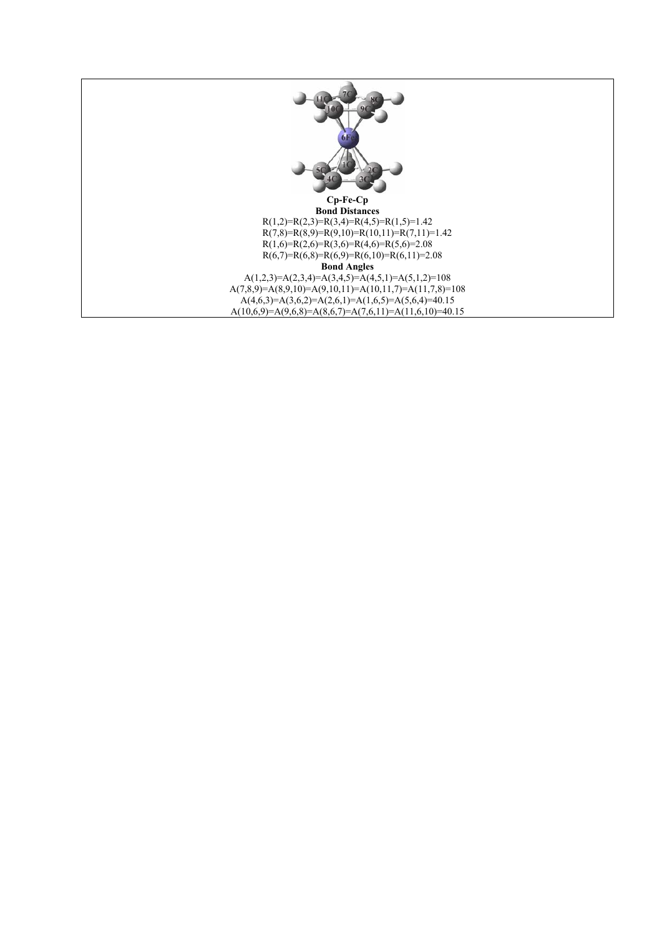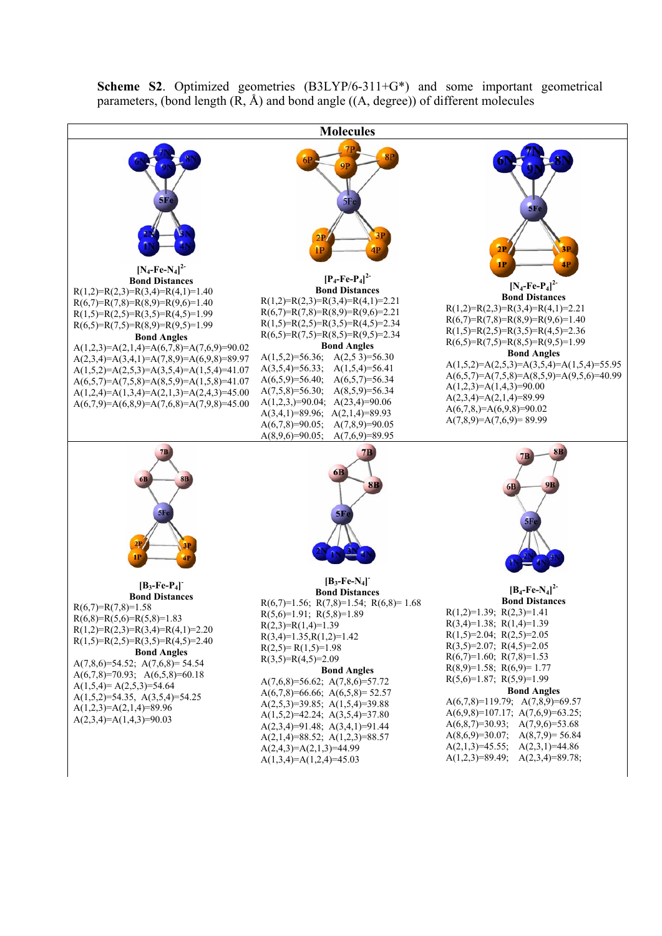

**Scheme S2**. Optimized geometries (B3LYP/6-311+G\*) and some important geometrical parameters, (bond length  $(R, \hat{A})$  and bond angle  $((A, \text{degree}))$  of different molecules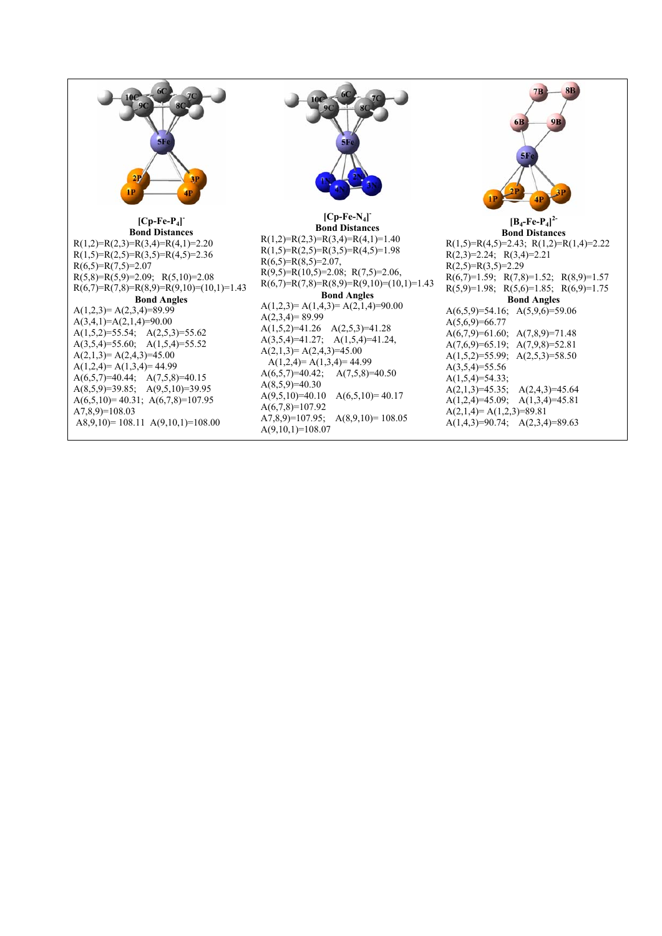

**[Cp-Fe-P4] - Bond Distances**   $R(1,2)=R(2,3)=R(3,4)=R(4,1)=2.20$  $R(1,5)=R(2,5)=R(3,5)=R(4,5)=2.36$  $R(6,5)=R(7,5)=2.07$  $R(5,8)=R(5,9)=2.09; R(5,10)=2.08$  $R(6,7)=R(7,8)=R(8,9)=R(9,10)=(10,1)=1.43$ **Bond Angles**   $A(1,2,3)=A(2,3,4)=89.99$  $A(3,4,1)=A(2,1,4)=90.00$ A(1,5,2)=55.54; A(2,5,3)=55.62 A(3,5,4)=55.60; A(1,5,4)=55.52  $A(2,1,3)=A(2,4,3)=45.00$  $A(1,2,4)= A(1,3,4)= 44.99$ A(6,5,7)=40.44; A(7,5,8)=40.15 A(8,5,9)=39.85; A(9,5,10)=39.95 A(6,5,10)= 40.31; A(6,7,8)=107.95 A7,8,9)=108.03 A8,9,10)= 108.11 A(9,10,1)=108.00



#### **[Cp-Fe-N4] - Bond Distances**   $R(1,2)=R(2,3)=R(3,4)=R(4,1)=1.40$  $R(1,5)=R(2,5)=R(3,5)=R(4,5)=1.98$  $R(6,5)=R(8,5)=2.07$ ,  $R(9,5)=R(10,5)=2.08; R(7,5)=2.06,$  $R(6,7)=R(7,8)=R(8,9)=R(9,10)=(10,1)=1.43$ **Bond Angles**   $A(1,2,3)= A(1,4,3)= A(2,1,4)=90.00$  $A(2,3,4)=89.99$  $A(1,5,2)=41.26 \quad A(2,5,3)=41.28$ A(3,5,4)=41.27; A(1,5,4)=41.24,  $A(2,1,3)=A(2,4,3)=45.00$  $A(1,2,4)= A(1,3,4)= 44.99$ A(6,5,7)=40.42; A(7,5,8)=40.50  $A(8,5,9)=40.30$  $A(9,5,10)=40.10$   $A(6,5,10)=40.17$ A(6,7,8)=107.92 A7,8,9 $=$ 107.95; A(8,9,10 $=$ 108.05  $A(9,10,1)=108.07$



**[B4-Fe-P4] 2- Bond Distances**   $R(1,5)=R(4,5)=2.43; R(1,2)=R(1,4)=2.22$  $R(2,3)=2.24; R(3,4)=2.21$  $R(2.5)=R(3.5)=2.29$  $R(6,7)=1.59; R(7,8)=1.52; R(8,9)=1.57$  $R(5,9)=1.98; R(5,6)=1.85; R(6,9)=1.75$ **Bond Angles**  A(6,5,9)=54.16; A(5,9,6)=59.06  $A(5,6,9)=66.77$ A(6,7,9)=61.60; A(7,8,9)=71.48 A(7,6,9)=65.19; A(7,9,8)=52.81 A(1,5,2)=55.99; A(2,5,3)=58.50  $A(3,5,4)=55.56$  $A(1,5,4)=54.33$ ; A(2,1,3)=45.35; A(2,4,3)=45.64 A(1,2,4)=45.09; A(1,3,4)=45.81  $A(2,1,4)= A(1,2,3)=89.81$ A(1,4,3)=90.74; A(2,3,4)=89.63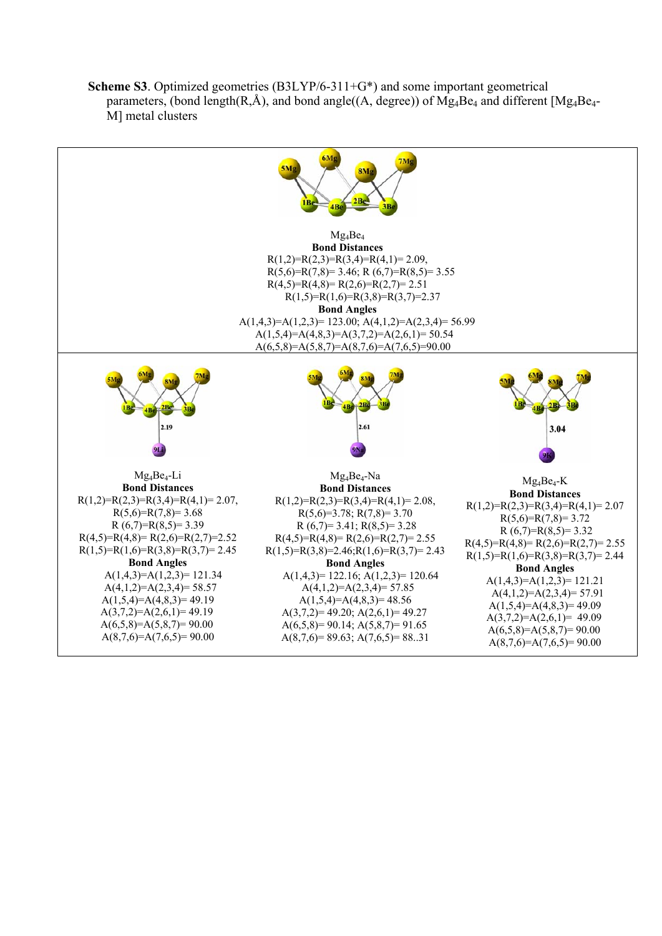**Scheme S3**. Optimized geometries (B3LYP/6-311+G\*) and some important geometrical parameters, (bond length( $R, \hat{A}$ ), and bond angle( $(A, degree)$ ) of Mg<sub>4</sub>Be<sub>4</sub> and different [Mg<sub>4</sub>Be<sub>4</sub>-M] metal clusters

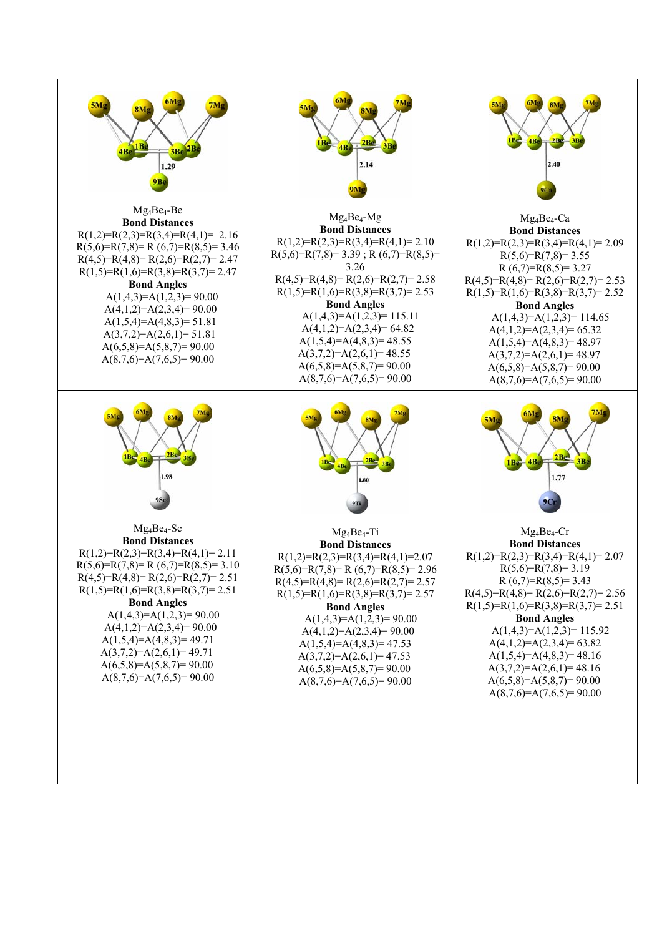



Mg4Be4-Ca **Bond Distances**  $R(1,2)=R(2,3)=R(3,4)=R(4,1)=2.09$  $R(5,6)=R(7,8)=3.55$  $R(6,7)=R(8,5)=3.27$  $R(4,5)=R(4,8)= R(2,6)=R(2,7)= 2.53$  $R(1,5)=R(1,6)=R(3,8)=R(3,7)=2.52$ **Bond Angles**   $A(1,4,3)=A(1,2,3)=114.65$  $A(4,1,2)=A(2,3,4)=65.32$  $A(1,5,4)=A(4,8,3)=48.97$  $A(3,7,2)=A(2,6,1)=48.97$  $A(6,5,8)=A(5,8,7)=90.00$  $A(8,7,6)=A(7,6,5)=90.00$ 



Mg4Be4-Cr **Bond Distances**   $R(1,2)=R(2,3)=R(3,4)=R(4,1)=2.07$  $R(5,6)=R(7,8)=3.19$  $R(6,7)=R(8,5)=3.43$  $R(4,5)=R(4,8)=R(2,6)=R(2,7)=2.56$  $R(1,5)=R(1,6)=R(3,8)=R(3,7)=2.51$ **Bond Angles**   $A(1,4,3)=A(1,2,3)=115.92$  $A(4,1,2)=A(2,3,4)=63.82$  $A(1,5,4)=A(4,8,3)=48.16$  $A(3,7,2)=A(2,6,1)=48.16$  $A(6,5,8)=A(5,8,7)=90.00$  $A(8,7,6)=A(7,6,5)=90.00$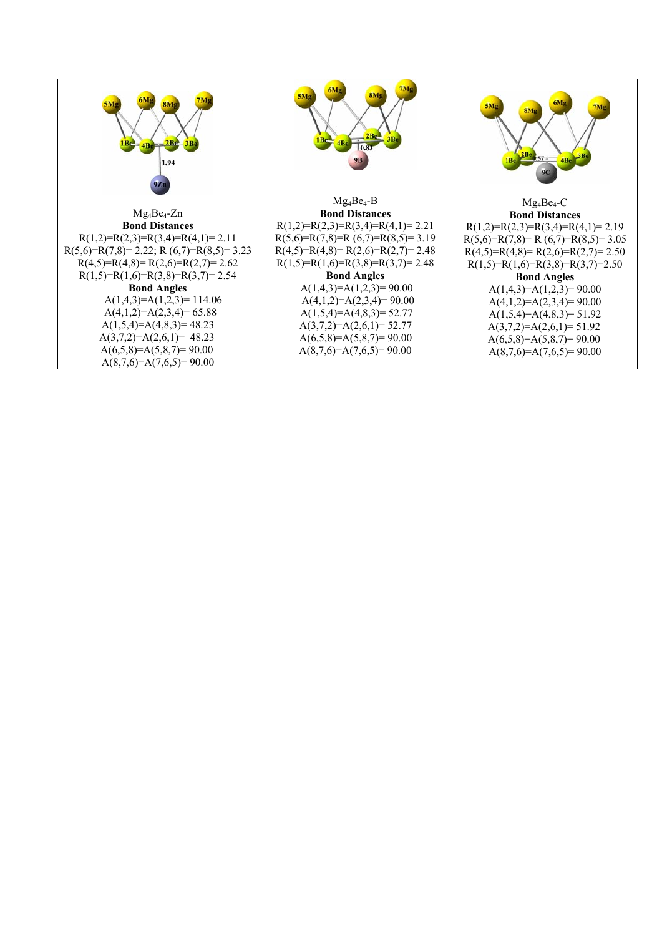

### Mg4Be4-Zn **Bond Distances**

 $R(1,2)=R(2,3)=R(3,4)=R(4,1)=2.11$  $R(5,6)=R(7,8)=2.22; R(6,7)=R(8,5)=3.23$  $R(4,5)=R(4,8)=R(2,6)=R(2,7)=2.62$  $R(1,5)=R(1,6)=R(3,8)=R(3,7)=2.54$ **Bond Angles**   $A(1,4,3)=A(1,2,3)=114.06$  $A(4,1,2)=A(2,3,4)=65.88$  $A(1,5,4)=A(4,8,3)=48.23$  $A(3,7,2)=A(2,6,1)= 48.23$  $A(6.5,8)=A(5,8,7)=90.00$ 

 $A(8,7,6)=A(7,6,5)=90.00$ 



# $Mg_4Be_4-B$ **Bond Distances**

 $R(1,2)=R(2,3)=R(3,4)=R(4,1)=2.21$  $R(5,6)=R(7,8)=R(6,7)=R(8,5)=3.19$  $R(4,5)=R(4,8)=R(2,6)=R(2,7)=2.48$  $R(1,5)=R(1,6)=R(3,8)=R(3,7)=2.48$ **Bond Angles** 

## $A(1,4,3)=A(1,2,3)=90.00$  $A(4,1,2)=A(2,3,4)=90.00$  $A(1,5,4)=A(4,8,3)=52.77$  $A(3,7,2)=A(2,6,1)=52.77$  $A(6,5,8)=A(5,8,7)=90.00$

 $A(8,7,6)=A(7,6,5)=90.00$ 



#### Mg4Be4-C **Bond Distances**

 $R(1,2)=R(2,3)=R(3,4)=R(4,1)=2.19$  $R(5,6)=R(7,8)= R(6,7)=R(8,5)= 3.05$  $R(4,5)=R(4,8)=R(2,6)=R(2,7)=2.50$  $R(1,5)=R(1,6)=R(3,8)=R(3,7)=2.50$ 

### **Bond Angles**

 $A(1,4,3)=A(1,2,3)=90.00$  $A(4,1,2)=A(2,3,4)=90.00$  $A(1,5,4)=A(4,8,3)=51.92$  $A(3,7,2)=A(2,6,1)=51.92$  $A(6,5,8)=A(5,8,7)=90.00$  $A(8,7,6)=A(7,6,5)=90.00$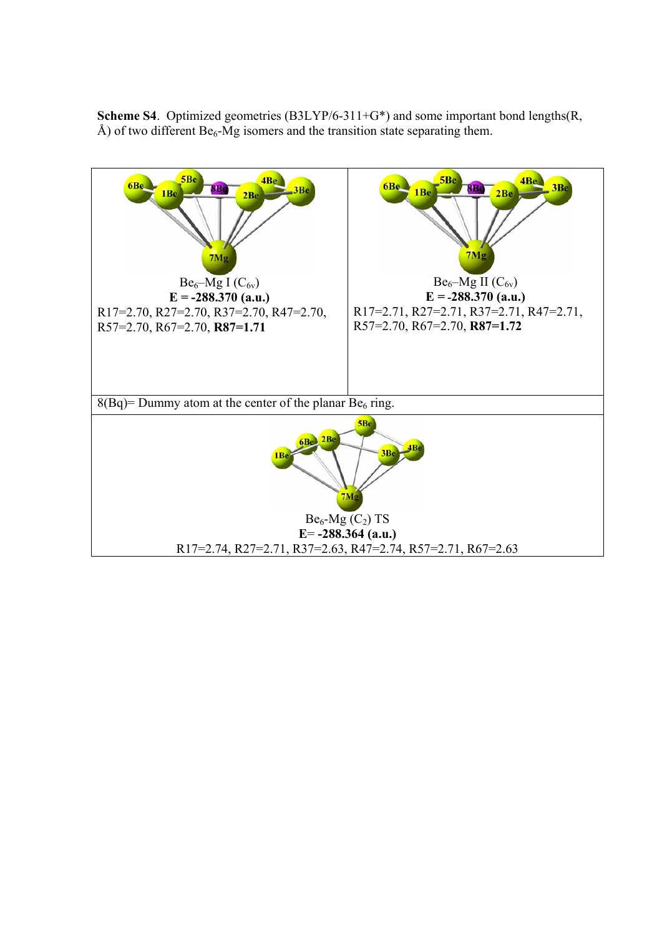**Scheme S4**. Optimized geometries (B3LYP/6-311+G<sup>\*</sup>) and some important bond lengths(R, Å) of two different  $Be_6$ -Mg isomers and the transition state separating them.

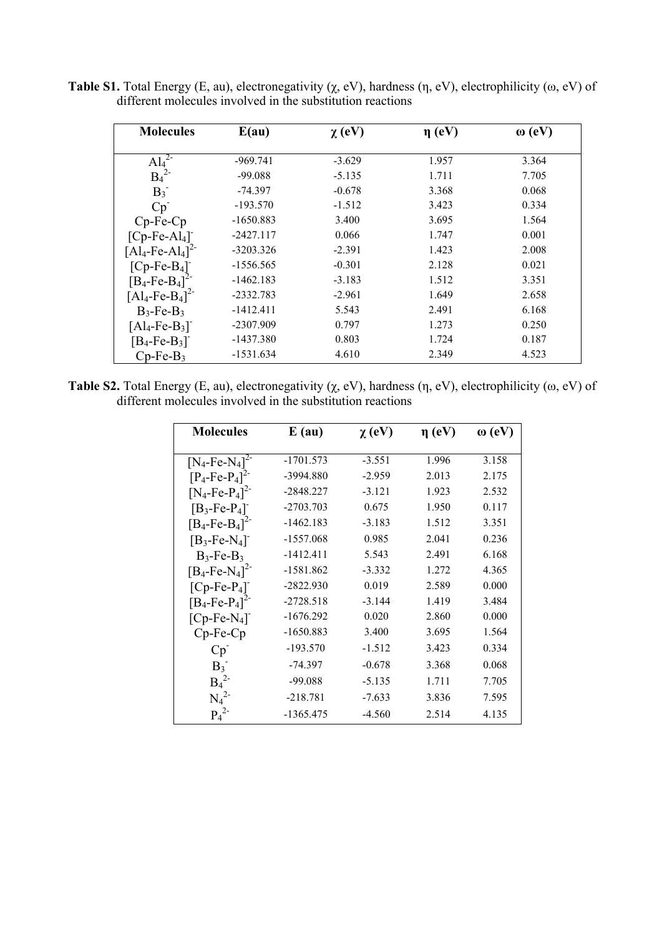**Table S1.** Total Energy (E, au), electronegativity (χ, eV), hardness (η, eV), electrophilicity (ω, eV) of different molecules involved in the substitution reactions

| <b>Molecules</b>                           | E(au)       | $\chi$ (eV) | $\eta$ (eV) | $\omega$ (eV) |
|--------------------------------------------|-------------|-------------|-------------|---------------|
|                                            |             |             |             |               |
| $Al_4^2$                                   | $-969.741$  | $-3.629$    | 1.957       | 3.364         |
| $B_4^2$                                    | $-99.088$   | $-5.135$    | 1.711       | 7.705         |
| $B_3^-$                                    | $-74.397$   | $-0.678$    | 3.368       | 0.068         |
| Cp                                         | $-193.570$  | $-1.512$    | 3.423       | 0.334         |
| $Cp-Fe-Cp$                                 | $-1650.883$ | 3.400       | 3.695       | 1.564         |
| $[Cp-Fe-Al4]$                              | $-2427.117$ | 0.066       | 1.747       | 0.001         |
| $[Al_4$ -Fe-Al <sub>4</sub> ] <sup>2</sup> | $-3203.326$ | $-2.391$    | 1.423       | 2.008         |
| $[Cp-Fe-B4]$                               | $-1556.565$ | $-0.301$    | 2.128       | 0.021         |
| $[B_4$ -Fe-B <sub>4</sub> ] <sup>2-</sup>  | $-1462.183$ | $-3.183$    | 1.512       | 3.351         |
| $[A]_4$ -Fe-B <sub>4</sub> ] <sup>2-</sup> | $-2332.783$ | $-2.961$    | 1.649       | 2.658         |
| $B_3$ -Fe- $B_3$                           | $-1412.411$ | 5.543       | 2.491       | 6.168         |
| $[A]_4$ -Fe-B <sub>3</sub> ]               | $-2307.909$ | 0.797       | 1.273       | 0.250         |
| $[B_4$ -Fe-B <sub>3</sub> ] <sup>-</sup>   | -1437.380   | 0.803       | 1.724       | 0.187         |
| $Cp-Fe-B3$                                 | $-1531.634$ | 4.610       | 2.349       | 4.523         |

**Table S2.** Total Energy (E, au), electronegativity (χ, eV), hardness (η, eV), electrophilicity (ω, eV) of different molecules involved in the substitution reactions

| <b>Molecules</b>                          | $E$ (au)    | $\chi$ (eV) | $\eta$ (eV) | $\omega$ (eV) |
|-------------------------------------------|-------------|-------------|-------------|---------------|
|                                           | $-1701.573$ | $-3.551$    | 1.996       | 3.158         |
| $[N_4$ -Fe-N <sub>4</sub> ] <sup>2-</sup> |             |             | 2.013       |               |
| $[P_4$ -Fe- $P_4]^{2-}$                   | -3994.880   | $-2.959$    |             | 2.175         |
| $[N_4$ -Fe-P <sub>4</sub> ] <sup>2-</sup> | $-2848.227$ | $-3.121$    | 1.923       | 2.532         |
| $[B_3$ -Fe-P <sub>4</sub> ] <sup>-</sup>  | $-2703.703$ | 0.675       | 1.950       | 0.117         |
| $[B_4 - Fe - B_4]^{2-}$                   | $-1462.183$ | $-3.183$    | 1.512       | 3.351         |
| $[B_3$ -Fe-N <sub>4</sub> ]               | $-1557.068$ | 0.985       | 2.041       | 0.236         |
| $B_3$ -Fe- $B_3$                          | $-1412.411$ | 5.543       | 2.491       | 6.168         |
| $[B_4$ -Fe-N <sub>4</sub> ] <sup>2-</sup> | $-1581.862$ | $-3.332$    | 1.272       | 4.365         |
| $[Cp-Fe-P4]$                              | $-2822.930$ | 0.019       | 2.589       | 0.000         |
| $[B_4 - Fe-P_4]^{2-}$                     | $-2728.518$ | $-3.144$    | 1.419       | 3.484         |
| $[Cp-Fe-N4]$                              | $-1676.292$ | 0.020       | 2.860       | 0.000         |
| $Cp-Fe-Cp$                                | $-1650.883$ | 3.400       | 3.695       | 1.564         |
| Cp                                        | $-193.570$  | $-1.512$    | 3.423       | 0.334         |
| $B_3^-$                                   | -74.397     | $-0.678$    | 3.368       | 0.068         |
| $B_4^2$                                   | $-99.088$   | $-5.135$    | 1.711       | 7.705         |
| $N_4^2$                                   | $-218.781$  | $-7.633$    | 3.836       | 7.595         |
| $P_4^2$                                   | -1365.475   | $-4.560$    | 2.514       | 4.135         |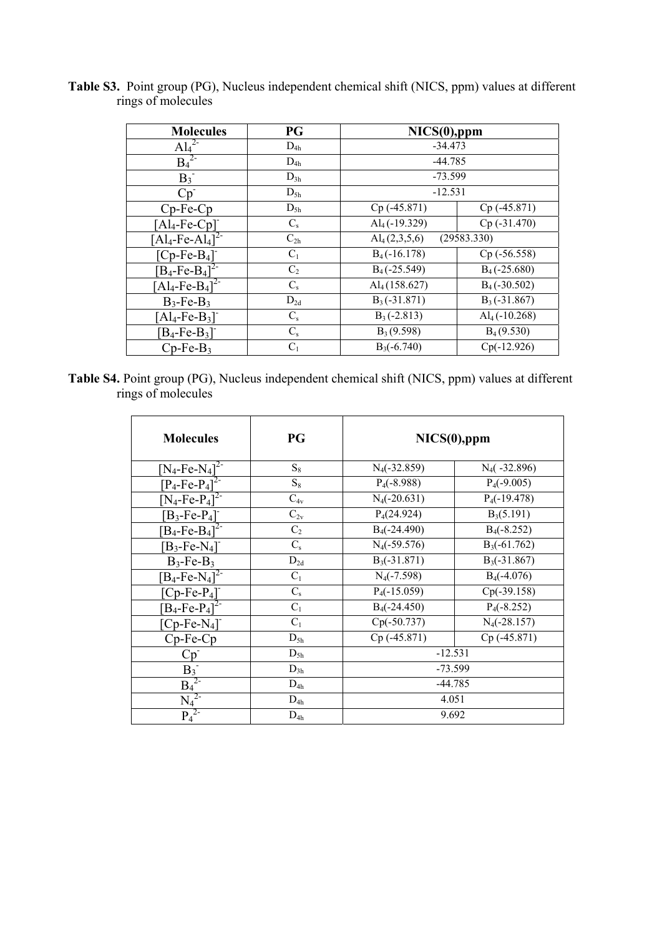| <b>Molecules</b>                            | PG             | $NICS(0),$ ppm             |                 |  |
|---------------------------------------------|----------------|----------------------------|-----------------|--|
| $Al_4^2$                                    | $D_{4h}$       | $-34.473$                  |                 |  |
| $B_4^2$                                     | $D_{4h}$       | $-44.785$                  |                 |  |
| $B_3^-$                                     | $D_{3h}$       | $-73.599$                  |                 |  |
| $Cp^-$                                      | $D_{5h}$       | $-12.531$                  |                 |  |
| Cp-Fe-Cp                                    | $D_{5h}$       | Cp (-45.871)               | Cp (-45.871)    |  |
| $[Al_4$ -Fe-Cp]                             | $C_{\rm s}$    | $Al4(-19.329)$             | $Cp$ (-31.470)  |  |
| $\overline{[Al_4\text{-}Fe\text{-}Al_4]^2}$ | $C_{2h}$       | $\mathrm{Al}_{4}(2,3,5,6)$ | (29583.330)     |  |
| $[Cp-Fe-B4]$                                | $C_1$          | $B_4(-16.178)$             | $Cp$ (-56.558)  |  |
| $[B_4$ -Fe-B <sub>4</sub> ] <sup>2-</sup>   | C <sub>2</sub> | $B_4$ (-25.549)            | $B_4$ (-25.680) |  |
| $[Al_4$ -Fe-B <sub>4</sub> ] <sup>2-</sup>  | $C_{\rm s}$    | Al <sub>4</sub> (158.627)  | $B_4$ (-30.502) |  |
| $B_3$ -Fe- $B_3$                            | $D_{2d}$       | $B_3(-31.871)$             | $B_3(-31.867)$  |  |
| $[Al_4$ -Fe-B <sub>3</sub> ] <sup>-</sup>   | $C_{s}$        | $B_3(-2.813)$              | $Al4(-10.268)$  |  |
| $[B_4$ -Fe-B <sub>3</sub> ]                 | $C_{s}$        | $B_3(9.598)$               | $B_4(9.530)$    |  |
| $Cp-Fe-B3$                                  | $C_1$          | $B_3(-6.740)$              | $Cp(-12.926)$   |  |

**Table S3.** Point group (PG), Nucleus independent chemical shift (NICS, ppm) values at different rings of molecules

**Table S4.** Point group (PG), Nucleus independent chemical shift (NICS, ppm) values at different rings of molecules

| <b>Molecules</b>                          | PG          | NICS(0), ppm            |                     |  |
|-------------------------------------------|-------------|-------------------------|---------------------|--|
| $[N_4$ -Fe-N <sub>4</sub> ] <sup>2-</sup> | $S_8$       | $N_4(-32.859)$          | $N_4$ ( $-32.896$ ) |  |
| $[P_4 - Fe - P_4]^{2-}$                   | $S_8$       | $P_4(-8.988)$           | $P_4(-9.005)$       |  |
| $[N_4$ -Fe-P <sub>4</sub> ] <sup>2-</sup> | $C_{4v}$    | $N_4(-20.631)$          | $P_4(-19.478)$      |  |
| $[B_3$ -Fe-P <sub>4</sub> ]               | $C_{2v}$    | P <sub>4</sub> (24.924) | $B_3(5.191)$        |  |
| $[B_4 - Fe - B_4]^{2-}$                   | $C_2$       | $B_4(-24.490)$          | $B_4(-8.252)$       |  |
| $[B_3$ -Fe-N <sub>4</sub> ]               | $C_{s}$     | $N_4(-59.576)$          | $B_3(-61.762)$      |  |
| $B_3$ -Fe- $B_3$                          | $D_{2d}$    | $B_3(-31.871)$          | $B_3(-31.867)$      |  |
| $[B_4$ -Fe-N <sub>4</sub> ] <sup>2-</sup> | $C_1$       | $N_4(-7.598)$           | $B_4(-4.076)$       |  |
| $[Cp-Fe-P4]$                              | $C_{\rm s}$ | $P_4(-15.059)$          | $Cp(-39.158)$       |  |
| $[B_4$ -Fe-P <sub>4</sub> ] <sup>2-</sup> | $C_1$       | $B_4(-24.450)$          | $P_4(-8.252)$       |  |
| $[Cp-Fe-N4]$                              | $C_1$       | $Cp(-50.737)$           | $N_4(-28.157)$      |  |
| $Cp-Fe-Cp$                                | $D_{5h}$    | $Cp$ (-45.871)          | $Cp$ (-45.871)      |  |
| $Cp^-$                                    | $D_{5h}$    | $-12.531$               |                     |  |
|                                           | $D_{3h}$    | $-73.599$               |                     |  |
| $\frac{B_3}{B_4^{2}}$                     | $D_{4h}$    | $-44.785$               |                     |  |
| $\frac{N_4^{2}}{P_4^{2}}$                 | $D_{4h}$    | 4.051                   |                     |  |
|                                           | $D_{4h}$    | 9.692                   |                     |  |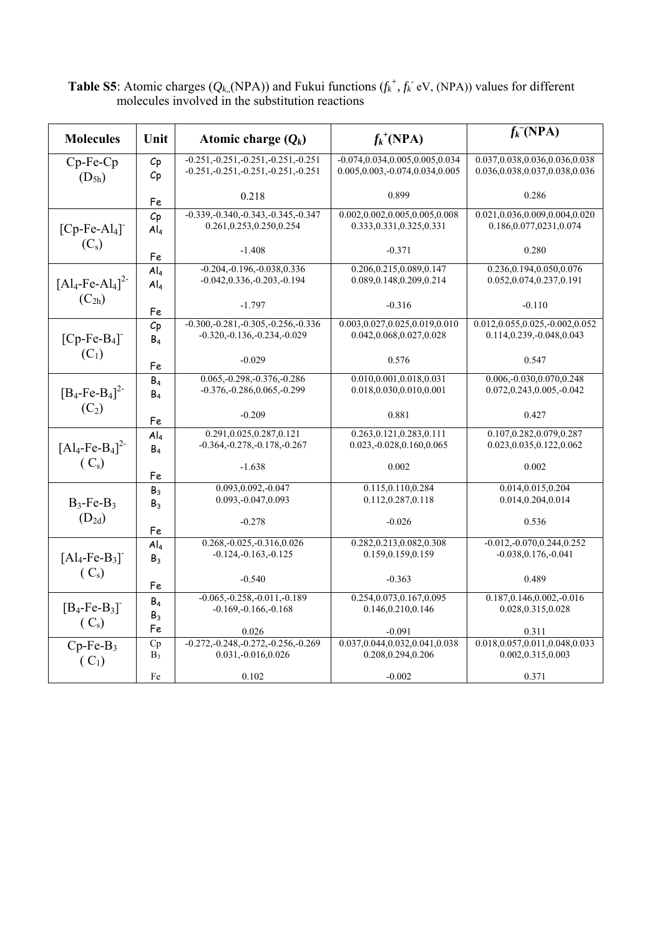|                                                  |                 |                                                                                      |                                                                            | $f_k$ <sup>(NPA)</sup>                                         |
|--------------------------------------------------|-----------------|--------------------------------------------------------------------------------------|----------------------------------------------------------------------------|----------------------------------------------------------------|
| <b>Molecules</b>                                 | Unit            | Atomic charge $(Q_k)$                                                                | $f_k^{\dagger}(\text{NPA})$                                                |                                                                |
| $Cp-Fe-Cp$                                       | Cp              | $-0.251, -0.251, -0.251, -0.251, -0.251$<br>$-0.251, -0.251, -0.251, -0.251, -0.251$ | $-0.074, 0.034, 0.005, 0.005, 0.034$<br>0.005, 0.003, -0.074, 0.034, 0.005 | 0.037,0.038,0.036,0.036,0.038<br>0.036,0.038,0.037,0.038,0.036 |
| Cp<br>$(D_{5h})$                                 |                 |                                                                                      |                                                                            |                                                                |
|                                                  | Fe              | 0.218                                                                                | 0.899                                                                      | 0.286                                                          |
|                                                  | Cp              | $-0.339, -0.340, -0.343, -0.345, -0.347$                                             | 0.002, 0.002, 0.005, 0.005, 0.008                                          | 0.021, 0.036, 0.009, 0.004, 0.020                              |
| $[Cp-Fe-Al4]$                                    | Al <sub>4</sub> | 0.261, 0.253, 0.250, 0.254                                                           | 0.333, 0.331, 0.325, 0.331                                                 | 0.186, 0.077, 0231, 0.074                                      |
| $(C_s)$                                          | Fe              | $-1.408$                                                                             | $-0.371$                                                                   | 0.280                                                          |
|                                                  | Al <sub>4</sub> | $-0.204, -0.196, -0.038, 0.336$                                                      | 0.206, 0.215, 0.089, 0.147                                                 | 0.236, 0.194, 0.050, 0.076                                     |
| $[Al_4$ -Fe-Al <sub>4</sub> ] <sup>2-</sup>      | Al <sub>4</sub> | $-0.042, 0.336, -0.203, -0.194$                                                      | 0.089, 0.148, 0.209, 0.214                                                 | 0.052,0.074,0.237,0.191                                        |
| $(C_{2h})$                                       | Fe              | $-1.797$                                                                             | $-0.316$                                                                   | $-0.110$                                                       |
|                                                  | Cp              | $-0.300, -0.281, -0.305, -0.256, -0.336$                                             | 0.003,0.027,0.025,0.019,0.010                                              | 0.012,0.055,0.025,-0.002,0.052                                 |
| $[Cp-Fe-B4]$                                     | B <sub>4</sub>  | $-0.320, -0.136, -0.234, -0.029$                                                     | 0.042,0.068,0.027,0.028                                                    | 0.114,0.239,-0.048,0.043                                       |
| $(C_1)$                                          | Fe              | $-0.029$                                                                             | 0.576                                                                      | 0.547                                                          |
|                                                  | B <sub>4</sub>  | $0.065,-0.298,-0.376,-0.286$                                                         | 0.010, 0.001, 0.018, 0.031                                                 | $0.006,-0.030,0.070,0.248$                                     |
| $[B_4$ -Fe-B <sub>4</sub> ] <sup>2-</sup>        | B <sub>4</sub>  | $-0.376,-0.286,0.065,-0.299$                                                         | 0.018,0.030,0.010,0.001                                                    | 0.072, 0.243, 0.005, -0.042                                    |
| $(C_2)$                                          | Fe              | $-0.209$                                                                             | 0.881                                                                      | 0.427                                                          |
|                                                  | Al <sub>4</sub> | 0.291,0.025,0.287,0.121                                                              | 0.263, 0.121, 0.283, 0.111                                                 | 0.107, 0.282, 0.079, 0.287                                     |
| $[Al_4$ -Fe-B <sub>4</sub> ] <sup>2-</sup>       | B <sub>4</sub>  | $-0.364, -0.278, -0.178, -0.267$                                                     | 0.023, -0.028, 0.160, 0.065                                                | 0.023, 0.035, 0.122, 0.062                                     |
| (C <sub>s</sub> )                                | Fe              | $-1.638$                                                                             | 0.002                                                                      | 0.002                                                          |
|                                                  | B <sub>3</sub>  | $0.093, 0.092, -0.047$                                                               | 0.115, 0.110, 0.284                                                        | 0.014, 0.015, 0.204                                            |
| $B_3$ -Fe- $B_3$                                 | B <sub>3</sub>  | 0.093, -0.047, 0.093                                                                 | 0.112,0.287,0.118                                                          | 0.014,0.204,0.014                                              |
| $(D_{2d})$                                       | Fe              | $-0.278$                                                                             | $-0.026$                                                                   | 0.536                                                          |
|                                                  | Al <sub>4</sub> | $0.268,-0.025,-0.316,0.026$                                                          | 0.282, 0.213, 0.082, 0.308                                                 | $-0.012,-0.070,0.244,0.252$                                    |
| $[Al_4$ -Fe-B <sub>3</sub> ] <sup>-</sup>        | B <sub>3</sub>  | $-0.124,-0.163,-0.125$                                                               | 0.159,0.159,0.159                                                          | $-0.038, 0.176, -0.041$                                        |
| (C <sub>s</sub> )                                | Fe              | $-0.540$                                                                             | $-0.363$                                                                   | 0.489                                                          |
|                                                  | B <sub>4</sub>  | $-0.065, -0.258, -0.011, -0.189$                                                     | 0.254, 0.073, 0.167, 0.095                                                 | $0.187, 0.146, 0.002, -0.016$                                  |
| $[B_4$ -Fe-B <sub>3</sub> ]<br>(C <sub>s</sub> ) | $B_3$           | $-0.169, -0.166, -0.168$                                                             | 0.146, 0.210, 0.146                                                        | 0.028, 0.315, 0.028                                            |
|                                                  | Fe              | 0.026                                                                                | $-0.091$                                                                   | 0.311                                                          |
| $Cp-Fe-B3$                                       | Cp              | $-0.272, -0.248, -0.272, -0.256, -0.269$<br>0.031, -0.016, 0.026                     | 0.037,0.044,0.032,0.041,0.038<br>0.208, 0.294, 0.206                       | 0.018, 0.057, 0.011, 0.048, 0.033<br>0.002, 0.315, 0.003       |
| $(C_1)$                                          | $B_3$           |                                                                                      |                                                                            |                                                                |
|                                                  | Fe              | 0.102                                                                                | $-0.002$                                                                   | 0.371                                                          |

**Table S5**: Atomic charges ( $Q_{k}$ , (NPA)) and Fukui functions ( $f_k^+$ ,  $f_k^-$  eV, (NPA)) values for different molecules involved in the substitution reactions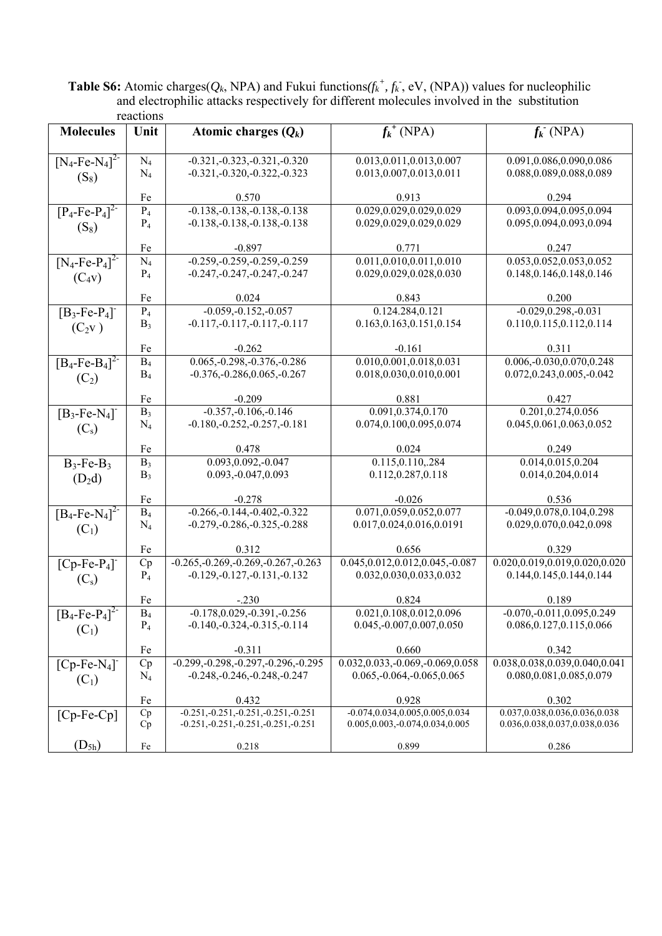**Table S6:** Atomic charges( $Q_k$ , NPA) and Fukui functions( $f_k^+$ ,  $f_k^-$ , eV, (NPA)) values for nucleophilic and electrophilic attacks respectively for different molecules involved in the substitution reactions

|                                           | ັບມມ     |                                          |                                      |                                   |
|-------------------------------------------|----------|------------------------------------------|--------------------------------------|-----------------------------------|
| <b>Molecules</b>                          | Unit     | Atomic charges $(Q_k)$                   | $f_k^{\dagger}$ (NPA)                | $f_k$ (NPA)                       |
|                                           |          |                                          |                                      |                                   |
| $[N_4$ -Fe-N <sub>4</sub> ] <sup>2-</sup> | $N_4$    | $-0.321, -0.323, -0.321, -0.320$         | 0.013, 0.011, 0.013, 0.007           | 0.091,0.086,0.090,0.086           |
|                                           | $N_4$    | $-0.321, -0.320, -0.322, -0.323$         | 0.013,0.007,0.013,0.011              | 0.088,0.089,0.088,0.089           |
| $(S_8)$                                   |          |                                          |                                      |                                   |
|                                           | Fe       | 0.570                                    | 0.913                                | 0.294                             |
| $[P_4 - Fe - \overline{P_4}]^{2-}$        | $P_4$    | $-0.138, -0.138, -0.138, -0.138$         | 0.029,0.029,0.029,0.029              | 0.093,0.094,0.095,0.094           |
|                                           | $P_4$    | $-0.138, -0.138, -0.138, -0.138$         | 0.029,0.029,0.029,0.029              | 0.095,0.094,0.093,0.094           |
| $(S_8)$                                   |          |                                          |                                      |                                   |
|                                           | Fe       | $-0.897$                                 | 0.771                                | 0.247                             |
| $[N_4$ -Fe-P <sub>4</sub> ] <sup>2-</sup> | $N_4$    | $-0.259, -0.259, -0.259, -0.259$         | 0.011,0.010,0.011,0.010              | 0.053, 0.052, 0.053, 0.052        |
| $(C_4v)$                                  | $P_4$    | $-0.247, -0.247, -0.247, -0.247$         | 0.029,0.029,0.028,0.030              | 0.148, 0.146, 0.148, 0.146        |
|                                           |          |                                          |                                      |                                   |
|                                           | Fe       | 0.024                                    | 0.843                                | 0.200                             |
| $[B_3$ -Fe-P <sub>4</sub> ]               | $P_4$    | $-0.059,-0.152,-0.057$                   | 0.124.284,0.121                      | $-0.029, 0.298, -0.031$           |
| $(C_2v)$                                  | $B_3$    | $-0.117, -0.117, -0.117, -0.117$         | 0.163, 0.163, 0.151, 0.154           | 0.110,0.115,0.112,0.114           |
|                                           |          |                                          |                                      |                                   |
|                                           | Fe       | $-0.262$                                 | $-0.161$                             | 0.311                             |
| $[B_4$ -Fe-B <sub>4</sub> ] <sup>2-</sup> | $B_4$    | $0.065, -0.298, -0.376, -0.286$          | 0.010, 0.001, 0.018, 0.031           | $0.006,-0.030,0.070,0.248$        |
|                                           | $B_4$    | $-0.376, -0.286, 0.065, -0.267$          | 0.018,0.030,0.010,0.001              | 0.072, 0.243, 0.005, -0.042       |
| $(C_2)$                                   |          |                                          |                                      |                                   |
|                                           | Fe       | $-0.209$                                 | 0.881                                | 0.427                             |
| $[B_3$ -Fe-N <sub>4</sub> ]               | $B_3$    | $-0.357, -0.106, -0.146$                 | 0.091, 0.374, 0.170                  | 0.201,0.274,0.056                 |
|                                           | $N_4$    | $-0.180,-0.252,-0.257,-0.181$            | 0.074,0.100,0.095,0.074              | 0.045,0.061,0.063,0.052           |
| $(C_s)$                                   |          |                                          |                                      |                                   |
|                                           | Fe       | 0.478                                    | 0.024                                | 0.249                             |
| $B_3$ -Fe- $B_3$                          | $B_3$    | $0.093, 0.092, -0.047$                   | 0.115, 0.110, 284                    | 0.014,0.015,0.204                 |
|                                           | $B_3$    | 0.093, -0.047, 0.093                     | 0.112,0.287,0.118                    | 0.014,0.204,0.014                 |
| $(D_2d)$                                  |          |                                          |                                      |                                   |
|                                           | Fe       | $-0.278$                                 | $-0.026$                             | 0.536                             |
| $[B_4$ -Fe-N <sub>4</sub> $^{-1}$         | $B_4$    | $-0.266, -0.144, -0.402, -0.322$         | 0.071,0.059,0.052,0.077              | $-0.049, 0.078, 0.104, 0.298$     |
| $(C_1)$                                   | $N_4$    | $-0.279, -0.286, -0.325, -0.288$         | 0.017,0.024,0.016,0.0191             | 0.029,0.070,0.042,0.098           |
|                                           |          |                                          |                                      |                                   |
|                                           | Fe       | 0.312                                    | 0.656                                | 0.329                             |
| $[Cp-Fe-P4]$                              | Cp       | $-0.265, -0.269, -0.269, -0.267, -0.263$ | $0.045, 0.012, 0.012, 0.045, -0.087$ | 0.020,0.019,0.019,0.020,0.020     |
| $(C_s)$                                   | $P_4$    | $-0.129, -0.127, -0.131, -0.132$         | 0.032,0.030,0.033,0.032              | 0.144, 0.145, 0.144, 0.144        |
|                                           |          |                                          |                                      |                                   |
|                                           | Fe       | $-.230$                                  | 0.824                                | 0.189                             |
| $[B_4\text{-}Fe\text{-}P_4]^{2-}$         | $B_4$    | $-0.178, 0.029, -0.391, -0.256$          | 0.021,0.108,0.012,0.096              | $-0.070, -0.011, 0.095, 0.249$    |
| $(C_1)$                                   | $P_4$    | $-0.140, -0.324, -0.315, -0.114$         | 0.045, -0.007, 0.007, 0.050          | 0.086, 0.127, 0.115, 0.066        |
|                                           |          |                                          |                                      |                                   |
|                                           | Fe       | $-0.311$                                 | 0.660                                | 0.342                             |
| $[Cp-Fe-N4]$                              | Cp       | $-0.299, -0.298, -0.297, -0.296, -0.295$ | 0.032, 0.033, -0.069, -0.069, 0.058  | 0.038, 0.038, 0.039, 0.040, 0.041 |
| $(C_1)$                                   | $N_4$    | $-0.248, -0.246, -0.248, -0.247$         | $0.065, -0.064, -0.065, 0.065$       | 0.080,0.081,0.085,0.079           |
|                                           |          |                                          |                                      |                                   |
|                                           | Fe       | 0.432                                    | 0.928                                | 0.302                             |
| $[Cp-Fe-Cp]$                              | Cp       | $-0.251, -0.251, -0.251, -0.251, -0.251$ | $-0.074, 0.034, 0.005, 0.005, 0.034$ | 0.037,0.038,0.036,0.036,0.038     |
|                                           | Cp       | $-0.251, -0.251, -0.251, -0.251, -0.251$ | 0.005, 0.003, -0.074, 0.034, 0.005   | 0.036,0.038,0.037,0.038,0.036     |
|                                           |          |                                          |                                      |                                   |
| $(D_{5h})$                                | $\rm Fe$ | 0.218                                    | 0.899                                | 0.286                             |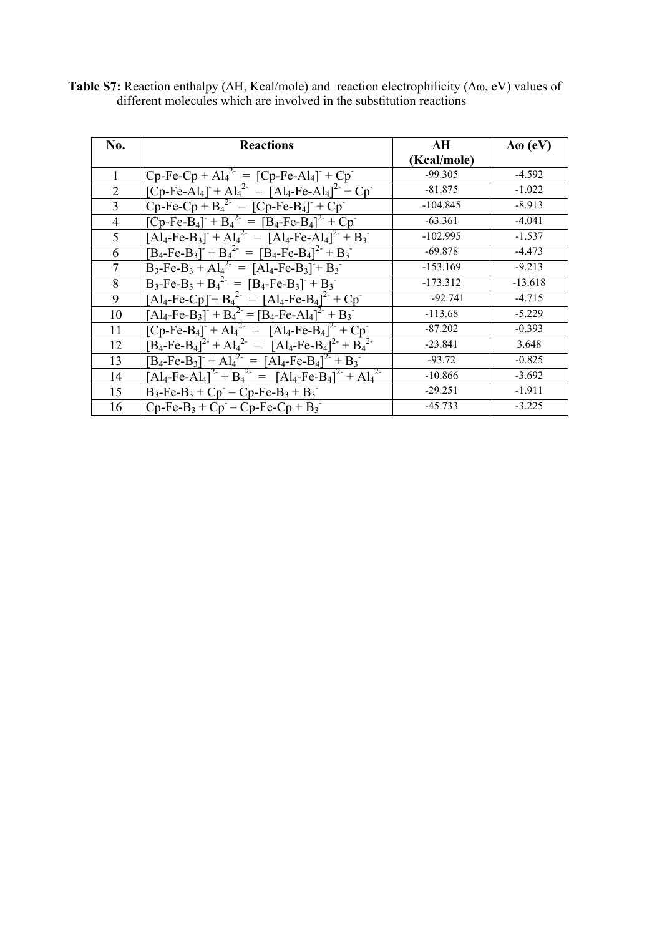| No.            | <b>Reactions</b>                                                                                                                                        | ΔH          | $\Delta\omega$ (eV) |
|----------------|---------------------------------------------------------------------------------------------------------------------------------------------------------|-------------|---------------------|
|                |                                                                                                                                                         | (Kcal/mole) |                     |
|                | $Cp-Fe-Cp + Al42 = [Cp-Fe-Al4] + Cp^{-1}$                                                                                                               | $-99.305$   | $-4.592$            |
| $\overline{2}$ | $[Cp-Fe-Al_4] + Al_4^{2} = [Al_4-Fe-Al_4]^{2} + Cp^{-}$                                                                                                 | $-81.875$   | $-1.022$            |
| 3              | $Cp-Fe-Cp + B42 = [Cp-Fe-B4]+ Cp$                                                                                                                       | $-104.845$  | $-8.913$            |
| 4              | $[Cp-Fe-B4]- + B42- = [B4-Fe-B4]2- + Cp^{-}$                                                                                                            | $-63.361$   | $-4.041$            |
| 5              | $[A]_4$ -Fe-B <sub>3</sub> ] <sup>+</sup> + Al <sub>4</sub> <sup>2-</sup> = $[A]_4$ -Fe-Al <sub>4</sub> ] <sup>2-</sup> + B <sub>3</sub> <sup>-</sup>   | $-102.995$  | $-1.537$            |
| 6              | $[B_4 - Fe-B_3] + B_4^{2} = [B_4 - Fe-B_4]^{2} + B_3$                                                                                                   | $-69.878$   | $-4.473$            |
|                | $B_3-Fe-B_3 + Al_4^{2-} = [Al_4-Fe-B_3] + B_3^{-}$                                                                                                      | $-153.169$  | $-9.213$            |
| 8              | $B_3-Fe-B_3 + B_4^{2} = [B_4-Fe-B_3] + B_3$                                                                                                             | $-173.312$  | $-13.618$           |
| 9              | $[Al_4-Fe-Cp] + B_4^{2-} = [Al_4-Fe-B_4]^{2-} + Cp^{-}$                                                                                                 | $-92.741$   | $-4.715$            |
| 10             | $[A]_4$ -Fe-B <sub>3</sub> ] <sup>+</sup> + B <sub>4</sub> <sup>2-</sup> = $[B_4$ -Fe-Al <sub>4</sub> ] <sup>2-</sup> + B <sub>3</sub> <sup>-</sup>     | $-113.68$   | $-5.229$            |
| 11             | $[Cp-Fe-B_4] + Al_4^{2} = [Al_4-Fe-B_4]^{2} + Cp^{-1}$                                                                                                  | $-87.202$   | $-0.393$            |
| 12             | $[B_4 - Fe - B_4]^{2} + Al_4^{2} = [Al_4 - Fe - B_4]^{2} + B_4^{2}$                                                                                     | $-23.841$   | 3.648               |
| 13             | $[B_4 - Fe - B_3] + Al_4^{2} = [Al_4 - Fe - B_4]^{2} + B_3$                                                                                             | $-93.72$    | $-0.825$            |
| 14             | $[A]_4$ -Fe-Al <sub>4</sub> ] <sup>2-</sup> + B <sub>4</sub> <sup>2-</sup> = $[A]_4$ -Fe-B <sub>4</sub> ] <sup>2-</sup> + Al <sub>4</sub> <sup>2-</sup> | $-10.866$   | $-3.692$            |
| 15             | $B_3$ -Fe-B <sub>3</sub> + Cp <sup>-</sup> = Cp-Fe-B <sub>3</sub> + B <sub>3</sub> <sup>-</sup>                                                         | $-29.251$   | $-1.911$            |
| 16             | $Cp-Fe-B_3 + Cp = Cp-Fe-Cp + B_3$                                                                                                                       | $-45.733$   | $-3.225$            |

**Table S7:** Reaction enthalpy (ΔH, Kcal/mole) and reaction electrophilicity (Δω, eV) values of different molecules which are involved in the substitution reactions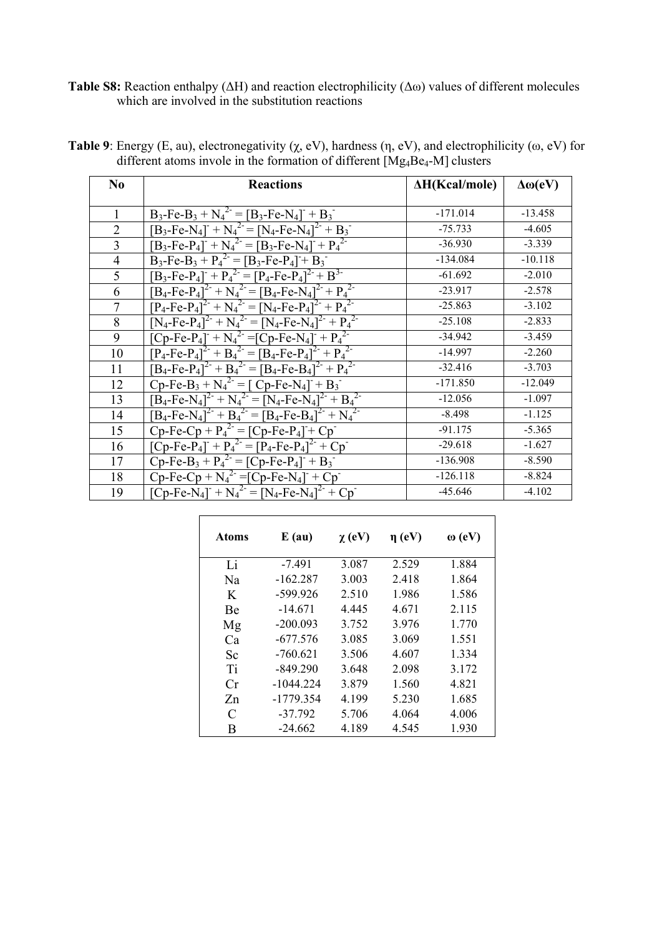**Table S8:** Reaction enthalpy (ΔH) and reaction electrophilicity (Δω) values of different molecules which are involved in the substitution reactions

| N <sub>0</sub> | <b>Reactions</b>                                                                                                                                    | $\Delta H(Kcal/mole)$ | $\Delta\omega$ (eV) |
|----------------|-----------------------------------------------------------------------------------------------------------------------------------------------------|-----------------------|---------------------|
|                |                                                                                                                                                     |                       |                     |
| 1              | $B_3$ -Fe-B <sub>3</sub> + N <sub>4</sub> <sup>2-</sup> = [B <sub>3</sub> -Fe-N <sub>4</sub> ] <sup>-</sup> + B <sub>3</sub> <sup>-</sup>           | $-171.014$            | $-13.458$           |
| $\overline{2}$ | $[B_3-Fe-N_4]$ <sup>+</sup> $N_4^{2}$ <sup>-</sup> = $[N_4-Fe-N_4]$ <sup>2-</sup> + $B_3$ <sup>-</sup>                                              | $-75.733$             | $-4.605$            |
| 3              | $\overline{[B_3\text{-}Fe\text{-}P_4]^{\text{-}} + N_4{}^2} = \overline{[B_3\text{-}Fe\text{-}N_4]^{\text{-}} + P_4{}^2}$                           | $-36.930$             | $-3.339$            |
| $\overline{4}$ | $B_3$ -Fe- $B_3 + P_4^2 = [B_3$ -Fe- $P_4] + B_3$                                                                                                   | $-134.084$            | $-10.118$           |
| 5              | $[B_3-Fe-P_4] + P_4^{2-} = [P_4-Fe-P_4]^{2-} + B^{3-}$                                                                                              | $-61.692$             | $-2.010$            |
| 6              | $[B_4 - Fe - P_4]^2 + N_4^2 = [B_4 - Fe - N_4]^2 + P_4^2$                                                                                           | $-23.917$             | $-2.578$            |
| $\tau$         | $[P_4-Fe-P_4]^{2-} + N_4{}^{2-} = [N_4-Fe-P_4]^{2-} + P_4{}^{2-}$                                                                                   | $-25.863$             | $-3.102$            |
| 8              | $[N_4$ -Fe-P <sub>4</sub> ] <sup>2-</sup> + N <sub>4</sub> <sup>2-</sup> = $[N_4$ -Fe-N <sub>4</sub> ] <sup>2-</sup> + P <sub>4</sub> <sup>2-</sup> | $-25.108$             | $-2.833$            |
| 9              | $[Cp-Fe-P_4] + \overline{N_4^2} = [Cp-Fe-N_4] + P_4^2$                                                                                              | $-34.942$             | $-3.459$            |
| 10             | $[P_4-Fe-P_4]^2 + B_4^2 = [B_4-Fe-P_4]^2 + P_4^2$                                                                                                   | $-14.997$             | $-2.260$            |
| 11             | $[B_4\text{-}Fe\text{-}P_4]^2 + B_4^2 = [B_4\text{-}Fe\text{-}B_4]^2 + P_4^2$                                                                       | $-32.416$             | $-3.703$            |
| 12             | $Cp-Fe-B_3 + N_4^2 = [Cp-Fe-N_4] + B_3$                                                                                                             | $-171.850$            | $-12.049$           |
| 13             | $[B_4$ -Fe-N <sub>4</sub> ] <sup>2-</sup> + N <sub>4</sub> <sup>2-</sup> = $[N_4$ -Fe-N <sub>4</sub> ] <sup>2-</sup> + B <sub>4</sub> <sup>2-</sup> | $-12.056$             | $-1.097$            |
| 14             | $[B_4$ -Fe-N <sub>4</sub> ] <sup>2-</sup> + B <sub>4</sub> <sup>2-</sup> = $[B_4$ -Fe-B <sub>4</sub> ] <sup>2-</sup> + N <sub>4</sub> <sup>2-</sup> | $-8.498$              | $-1.125$            |
| 15             | $Cp-Fe-Cp + P42 = [Cp-Fe-P4] + Cp^{-1}$                                                                                                             | $-91.175$             | $-5.365$            |
| 16             | $[Cp-Fe-P_4] + P_4^{2} = [P_4-Fe-P_4]^{2} + Cp^{-}$                                                                                                 | $-29.618$             | $-1.627$            |
| 17             | $Cp-Fe-B_3 + P_4^2 = [Cp-Fe-P_4] + B_3$                                                                                                             | $-136.908$            | $-8.590$            |
| 18             | $Cp-Fe-Cp + N_4^2 = [Cp-Fe-N_4] + Cp$                                                                                                               | $-126.118$            | $-8.824$            |
| 19             | $[Cp-Fe-N_4] + N_4^2 = [N_4-Fe-N_4]^2 + Cp$                                                                                                         | $-45.646$             | $-4.102$            |

| <b>Table 9</b> : Energy (E, au), electronegativity ( $\chi$ , eV), hardness ( $\eta$ , eV), and electrophilicity ( $\omega$ , eV) for |  |
|---------------------------------------------------------------------------------------------------------------------------------------|--|
| different atoms invole in the formation of different $[Mg_4Be_4-M]$ clusters                                                          |  |

| <b>Atoms</b> | $E$ (au)    | $\chi$ (eV) | $\eta$ (eV) | $\omega$ (eV) |
|--------------|-------------|-------------|-------------|---------------|
| Li           | $-7.491$    | 3.087       | 2.529       | 1.884         |
| Na           | $-162.287$  | 3.003       | 2.418       | 1.864         |
| K            | $-599.926$  | 2.510       | 1.986       | 1.586         |
| Be           | $-14.671$   | 4.445       | 4.671       | 2.115         |
| Mg           | $-200.093$  | 3.752       | 3.976       | 1.770         |
| Ca           | $-677.576$  | 3.085       | 3.069       | 1.551         |
| Sc           | $-760.621$  | 3.506       | 4.607       | 1.334         |
| Ti           | $-849.290$  | 3.648       | 2.098       | 3.172         |
| Cr           | $-1044.224$ | 3.879       | 1.560       | 4.821         |
| Zn           | $-1779.354$ | 4.199       | 5.230       | 1.685         |
| C            | $-37.792$   | 5.706       | 4.064       | 4.006         |
| В            | $-24.662$   | 4.189       | 4.545       | 1.930         |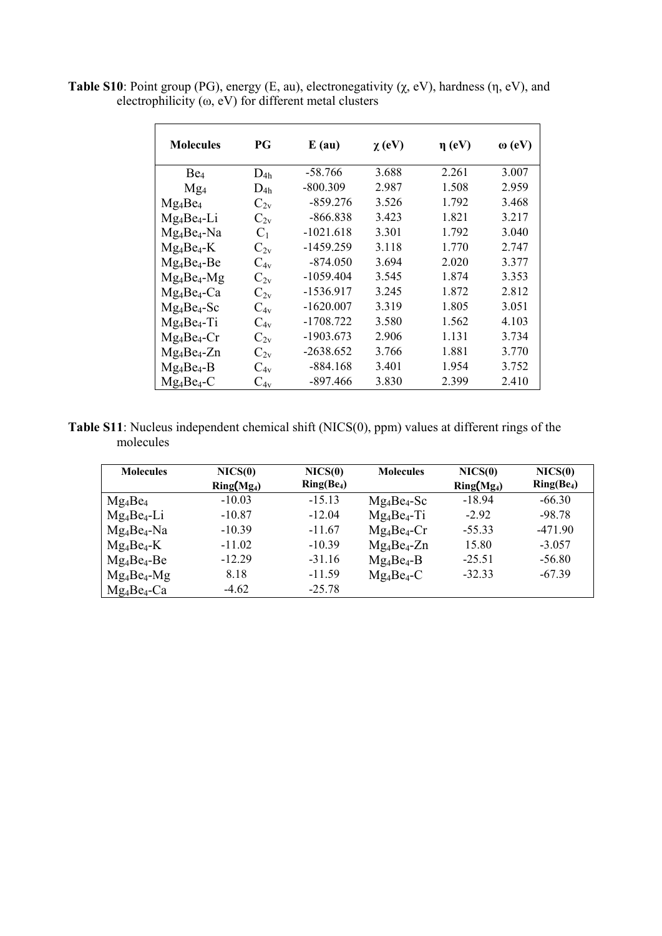| <b>Table S10</b> : Point group (PG), energy (E, au), electronegativity $(\chi, eV)$ , hardness $(\eta, eV)$ , and |  |
|-------------------------------------------------------------------------------------------------------------------|--|
| electrophilicity ( $\omega$ , eV) for different metal clusters                                                    |  |

| <b>Molecules</b> | PG                | $E$ (au)    | $\chi$ (eV) | $\eta$ (eV) | $\omega$ (eV) |
|------------------|-------------------|-------------|-------------|-------------|---------------|
| Be <sub>4</sub>  | $D_{4h}$          | $-58.766$   | 3.688       | 2.261       | 3.007         |
| Mg <sub>4</sub>  | $D_{4h}$          | $-800.309$  | 2.987       | 1.508       | 2.959         |
| $Mg_4Be_4$       | $C_{2v}$          | $-859.276$  | 3.526       | 1.792       | 3.468         |
| $Mg_4Be_4-Li$    | $C_{2v}$          | $-866.838$  | 3.423       | 1.821       | 3.217         |
| $Mg_4Be_4-Na$    | $C_1$             | $-1021.618$ | 3.301       | 1.792       | 3.040         |
| $Mg_4Be_4-K$     | $\mathrm{C_{2v}}$ | $-1459.259$ | 3.118       | 1.770       | 2.747         |
| $Mg_4Be_4-Be$    | $C_{4v}$          | $-874.050$  | 3.694       | 2.020       | 3.377         |
| $Mg_4Be_4-Mg$    | $C_{2v}$          | $-1059.404$ | 3.545       | 1.874       | 3.353         |
| $Mg_4Be_4-Ca$    | $C_{2v}$          | -1536.917   | 3.245       | 1.872       | 2.812         |
| $Mg_4Be_4-Sc$    | $C_{4v}$          | $-1620.007$ | 3.319       | 1.805       | 3.051         |
| $Mg_4Be_4-Ti$    | $C_{4v}$          | $-1708.722$ | 3.580       | 1.562       | 4.103         |
| $Mg_4Be_4-Cr$    | $C_{2v}$          | $-1903.673$ | 2.906       | 1.131       | 3.734         |
| $Mg_4Be_4-Zn$    | $C_{2v}$          | $-2638.652$ | 3.766       | 1.881       | 3.770         |
| $Mg_4Be_4-B$     | $C_{4v}$          | $-884.168$  | 3.401       | 1.954       | 3.752         |
| $Mg_4Be_4-C$     | $C_{4v}$          | -897.466    | 3.830       | 2.399       | 2.410         |

**Table S11**: Nucleus independent chemical shift (NICS(0), ppm) values at different rings of the molecules

| <b>Molecules</b> | NICS(0)      | NICS(0)      | <b>Molecules</b> | NICS(0)      | NICS(0)      |
|------------------|--------------|--------------|------------------|--------------|--------------|
|                  | $Ring(Mg_4)$ | $Ring(Be_4)$ |                  | $Ring(Mg_4)$ | $Ring(Be_4)$ |
| $Mg_4Be_4$       | $-10.03$     | $-15.13$     | $Mg_4Be_4-Sc$    | $-18.94$     | $-66.30$     |
| $Mg_4Be_4-Li$    | $-10.87$     | $-12.04$     | $Mg_4Be_4-Ti$    | $-292$       | $-98.78$     |
| $Mg_4Be_4-Na$    | $-10.39$     | $-11.67$     | $Mg_4Be_4-Cr$    | $-55.33$     | $-471.90$    |
| $Mg_4Be_4-K$     | $-11.02$     | $-10.39$     | $Mg_4Be_4-Zn$    | 15.80        | $-3.057$     |
| $Mg_4Be_4-Be$    | $-12.29$     | $-31.16$     | $Mg_4Be_4-B$     | $-25.51$     | $-56.80$     |
| $Mg_4Be_4-Mg$    | 8.18         | $-11.59$     | $Mg_4Be_4-C$     | $-3233$      | $-67.39$     |
| $Mg_4Be_4-Ca$    | $-4.62$      | $-25.78$     |                  |              |              |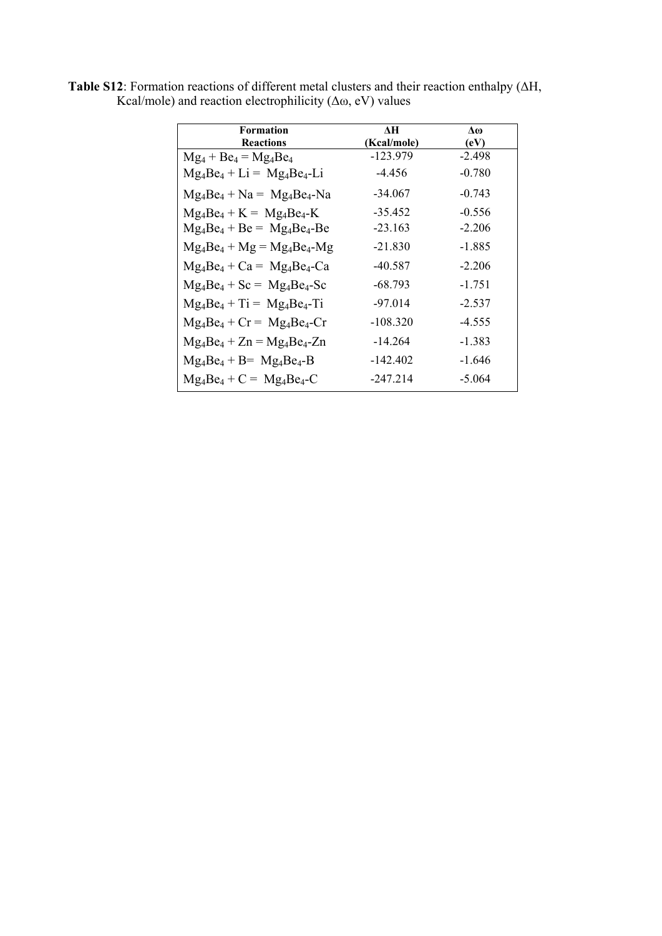| <b>Formation</b>                | ЛH          | Δω       |
|---------------------------------|-------------|----------|
| <b>Reactions</b>                | (Kcal/mole) | (eV)     |
| $Mg_4 + Be_4 = Mg_4Be_4$        | $-123.979$  | $-2.498$ |
| $Mg_4Be_4 + Li = Mg_4Be_4-Li$   | $-4.456$    | $-0.780$ |
| $Mg_4Be_4 + Na = Mg_4Be_4-Na$   | $-34.067$   | $-0.743$ |
| $Mg_4Be_4 + K = Mg_4Be_4 - K$   | $-35.452$   | $-0.556$ |
| $Mg_4Be_4 + Be = Mg_4Be_4 - Be$ | $-23.163$   | $-2.206$ |
| $Mg_4Be_4 + Mg = Mg_4Be_4 - Mg$ | $-21.830$   | $-1.885$ |
| $Mg_4Be_4 + Ca = Mg_4Be_4-Ca$   | -40.587     | $-2.206$ |
| $Mg_4Be_4 + Sc = Mg_4Be_4 - Sc$ | -68.793     | $-1.751$ |
| $Mg_4Be_4 + Ti = Mg_4Be_4 - Ti$ | $-97.014$   | $-2.537$ |
| $Mg_4Be_4 + Cr = Mg_4Be_4 - Cr$ | $-108.320$  | $-4.555$ |
| $Mg_4Be_4 + Zn = Mg_4Be_4-Zn$   | $-14.264$   | $-1.383$ |
| $Mg_4Be_4 + B = Mg_4Be_4 - B$   | $-142.402$  | -1.646   |
| $Mg_4Be_4 + C = Mg_4Be_4-C$     | $-247.214$  | $-5.064$ |

**Table S12**: Formation reactions of different metal clusters and their reaction enthalpy (ΔH, Kcal/mole) and reaction electrophilicity  $(\Delta \omega, eV)$  values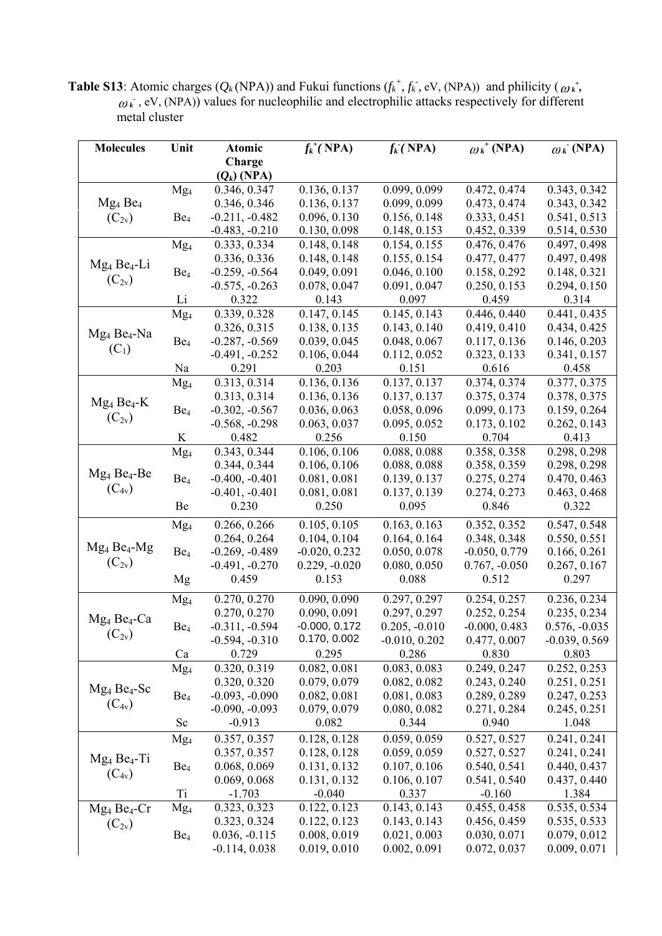**Table S13**: Atomic charges ( $Q_k(NPA)$ ) and Fukui functions ( $f_k^+$ ,  $f_k^-$ , eV, (NPA)) and philicity ( $\omega_k^*$ ,  $\omega_k$ , eV, (NPA)) values for nucleophilic and electrophilic attacks respectively for different metal cluster

| <b>Molecules</b>                | Unit            | Atomic           | $f_k^{\dagger}(\text{NPA})$ | $f_k$ (NPA)     | $\omega_k$ <sup>+</sup> (NPA) | $\omega_k$ (NPA) |
|---------------------------------|-----------------|------------------|-----------------------------|-----------------|-------------------------------|------------------|
|                                 |                 | Charge           |                             |                 |                               |                  |
|                                 |                 | $(Q_k)$ (NPA)    |                             |                 |                               |                  |
|                                 | Mg <sub>4</sub> | 0.346, 0.347     | 0.136, 0.137                | 0.099, 0.099    | 0.472, 0.474                  | 0.343, 0.342     |
| Mg <sub>4</sub> Be <sub>4</sub> |                 | 0.346, 0.346     | 0.136, 0.137                | 0.099, 0.099    | 0.473, 0.474                  | 0.343, 0.342     |
| $(C_{2v})$                      | Be <sub>4</sub> | $-0.211, -0.482$ | 0.096, 0.130                | 0.156, 0.148    | 0.333, 0.451                  | 0.541, 0.513     |
|                                 |                 | $-0.483, -0.210$ | 0.130, 0.098                | 0.148, 0.153    | 0.452, 0.339                  | 0.514, 0.530     |
|                                 | Mg <sub>4</sub> | 0.333, 0.334     | 0.148, 0.148                | 0.154, 0.155    | 0.476, 0.476                  | 0.497, 0.498     |
|                                 |                 | 0.336, 0.336     | 0.148, 0.148                | 0.155, 0.154    | 0.477, 0.477                  | 0.497, 0.498     |
| $Mg_4Be_4-Li$                   | Be <sub>4</sub> | $-0.259, -0.564$ | 0.049, 0.091                | 0.046, 0.100    | 0.158, 0.292                  | 0.148, 0.321     |
| $(C_{2v})$                      |                 | $-0.575, -0.263$ | 0.078, 0.047                | 0.091, 0.047    | 0.250, 0.153                  | 0.294, 0.150     |
|                                 | Li              | 0.322            | 0.143                       | 0.097           | 0.459                         | 0.314            |
|                                 | Mg <sub>4</sub> | 0.339, 0.328     | 0.147, 0.145                | 0.145, 0.143    | 0.446, 0.440                  | 0.441, 0.435     |
| $Mg_4 Be_4-Na$                  |                 | 0.326, 0.315     | 0.138, 0.135                | 0.143, 0.140    | 0.419, 0.410                  | 0.434, 0.425     |
|                                 | Be <sub>4</sub> | $-0.287, -0.569$ | 0.039, 0.045                | 0.048, 0.067    | 0.117, 0.136                  | 0.146, 0.203     |
| $(C_1)$                         |                 | $-0.491, -0.252$ | 0.106, 0.044                | 0.112, 0.052    | 0.323, 0.133                  | 0.341, 0.157     |
|                                 | Na              | 0.291            | 0.203                       | 0.151           | 0.616                         | 0.458            |
|                                 | Mg <sub>4</sub> | 0.313, 0.314     | 0.136, 0.136                | 0.137, 0.137    | 0.374, 0.374                  | 0.377, 0.375     |
| $Mg_4Be_4-K$                    |                 | 0.313, 0.314     | 0.136, 0.136                | 0.137, 0.137    | 0.375, 0.374                  | 0.378, 0.375     |
|                                 | Be <sub>4</sub> | $-0.302, -0.567$ | 0.036, 0.063                | 0.058, 0.096    | 0.099, 0.173                  | 0.159, 0.264     |
| $(C_{2v})$                      |                 | $-0.568, -0.298$ | 0.063, 0.037                | 0.095, 0.052    | 0.173, 0.102                  | 0.262, 0.143     |
|                                 | K               | 0.482            | 0.256                       | 0.150           | 0.704                         | 0.413            |
|                                 | Mg <sub>4</sub> | 0.343, 0.344     | 0.106, 0.106                | 0.088, 0.088    | 0.358, 0.358                  | 0.298, 0.298     |
|                                 |                 | 0.344, 0.344     | 0.106, 0.106                | 0.088, 0.088    | 0.358, 0.359                  | 0.298, 0.298     |
| $Mg_4Be_4-Be$                   | Be <sub>4</sub> | $-0.400, -0.401$ | 0.081, 0.081                | 0.139, 0.137    | 0.275, 0.274                  | 0.470, 0.463     |
| $(C_{4v})$                      |                 | $-0.401, -0.401$ | 0.081, 0.081                | 0.137, 0.139    | 0.274, 0.273                  | 0.463, 0.468     |
|                                 | Be              | 0.230            | 0.250                       | 0.095           | 0.846                         | 0.322            |
|                                 | Mg <sub>4</sub> | 0.266, 0.266     | 0.105, 0.105                | 0.163, 0.163    | 0.352, 0.352                  | 0.547, 0.548     |
|                                 |                 | 0.264, 0.264     | 0.104, 0.104                | 0.164, 0.164    | 0.348, 0.348                  | 0.550, 0.551     |
| $Mg_4Be_4-Mg$                   | Be <sub>4</sub> | $-0.269, -0.489$ | $-0.020, 0.232$             | 0.050, 0.078    | $-0.050, 0.779$               | 0.166, 0.261     |
| $(C_{2v})$                      |                 | $-0.491, -0.270$ | $0.229, -0.020$             | 0.080, 0.050    | $0.767, -0.050$               | 0.267, 0.167     |
|                                 | Mg              | 0.459            | 0.153                       | 0.088           | 0.512                         | 0.297            |
|                                 | Mg <sub>4</sub> | 0.270, 0.270     | 0.090, 0.090                | 0.297, 0.297    | 0.254, 0.257                  | 0.236, 0.234     |
|                                 |                 | 0.270, 0.270     | 0.090, 0.091                | 0.297, 0.297    | 0.252, 0.254                  | 0.235, 0.234     |
| $Mg_4Be_4-Ca$                   | Be <sub>4</sub> | $-0.311, -0.594$ | $-0.000, 0.172$             | $0.205, -0.010$ | $-0.000, 0.483$               | $0.576, -0.035$  |
| $(C_{2v})$                      |                 | $-0.594, -0.310$ | 0.170, 0.002                | $-0.010, 0.202$ | 0.477, 0.007                  | $-0.039, 0.569$  |
|                                 | Ca              | 0.729            | 0.295                       | 0.286           | 0.830                         | 0.803            |
|                                 | Mg <sub>4</sub> | 0.320, 0.319     | 0.082, 0.081                | 0.083, 0.083    | 0.249, 0.247                  | 0.252, 0.253     |
|                                 |                 | 0.320, 0.320     | 0.079, 0.079                | 0.082, 0.082    | 0.243, 0.240                  | 0.251, 0.251     |
| $Mg_4 Be_4$ -Sc                 | Be <sub>4</sub> | $-0.093, -0.090$ | 0.082, 0.081                | 0.081, 0.083    | 0.289, 0.289                  | 0.247, 0.253     |
| $(C_{4v})$                      |                 | $-0.090, -0.093$ | 0.079, 0.079                | 0.080, 0.082    | 0.271, 0.284                  | 0.245, 0.251     |
|                                 | Sc              | $-0.913$         | 0.082                       | 0.344           | 0.940                         | 1.048            |
|                                 | Mg <sub>4</sub> | 0.357, 0.357     | 0.128, 0.128                | 0.059, 0.059    | 0.527, 0.527                  | 0.241, 0.241     |
|                                 |                 | 0.357, 0.357     | 0.128, 0.128                | 0.059, 0.059    | 0.527, 0.527                  | 0.241, 0.241     |
| $Mg_4Be_4-Ti$                   | Be <sub>4</sub> | 0.068, 0.069     | 0.131, 0.132                | 0.107, 0.106    | 0.540, 0.541                  | 0.440, 0.437     |
| $(C_{4v})$                      |                 | 0.069, 0.068     | 0.131, 0.132                | 0.106, 0.107    | 0.541, 0.540                  | 0.437, 0.440     |
|                                 | T <sub>i</sub>  | $-1.703$         | $-0.040$                    | 0.337           | $-0.160$                      | 1.384            |
| $Mg_4Be_4-Cr$                   | Mg <sub>4</sub> | 0.323, 0.323     | 0.122, 0.123                | 0.143, 0.143    | 0.455, 0.458                  | 0.535, 0.534     |
|                                 |                 | 0.323, 0.324     | 0.122, 0.123                | 0.143, 0.143    | 0.456, 0.459                  | 0.535, 0.533     |
| $(C_{2v})$                      | Be <sub>4</sub> | $0.036, -0.115$  | 0.008, 0.019                | 0.021, 0.003    | 0.030, 0.071                  | 0.079, 0.012     |
|                                 |                 | $-0.114, 0.038$  | 0.019, 0.010                | 0.002, 0.091    | 0.072, 0.037                  | 0.009, 0.071     |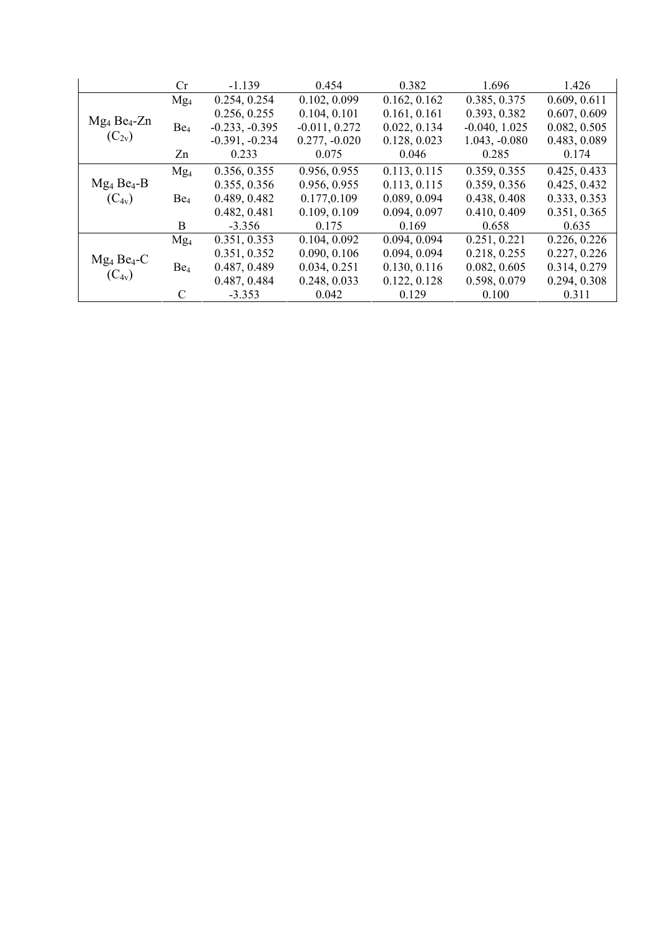|                            | Cr.             | $-1.139$         | 0.454           | 0.382        | 1.696           | 1.426        |
|----------------------------|-----------------|------------------|-----------------|--------------|-----------------|--------------|
|                            | Mg <sub>4</sub> | 0.254, 0.254     | 0.102, 0.099    | 0.162, 0.162 | 0.385, 0.375    | 0.609, 0.611 |
|                            |                 | 0.256, 0.255     | 0.104, 0.101    | 0.161, 0.161 | 0.393, 0.382    | 0.607, 0.609 |
| $Mg_4Be_4-Zn$              | Be <sub>4</sub> | $-0.233, -0.395$ | $-0.011, 0.272$ | 0.022, 0.134 | $-0.040, 1.025$ | 0.082, 0.505 |
| $(C_{2v})$                 |                 | $-0.391, -0.234$ | $0.277, -0.020$ | 0.128, 0.023 | $1.043, -0.080$ | 0.483, 0.089 |
|                            | Zn              | 0.233            | 0.075           | 0.046        | 0.285           | 0.174        |
|                            | Mg <sub>4</sub> | 0.356, 0.355     | 0.956, 0.955    | 0.113, 0.115 | 0.359, 0.355    | 0.425, 0.433 |
| $Mg_4Be_4-B$               |                 | 0.355, 0.356     | 0.956, 0.955    | 0.113, 0.115 | 0.359, 0.356    | 0.425, 0.432 |
| $(C_{4v})$                 | Be <sub>4</sub> | 0.489, 0.482     | 0.177,0.109     | 0.089, 0.094 | 0.438, 0.408    | 0.333, 0.353 |
|                            |                 | 0.482, 0.481     | 0.109, 0.109    | 0.094, 0.097 | 0.410, 0.409    | 0.351, 0.365 |
|                            | B               | $-3.356$         | 0.175           | 0.169        | 0.658           | 0.635        |
|                            | Mg <sub>4</sub> | 0.351, 0.353     | 0.104, 0.092    | 0.094, 0.094 | 0.251, 0.221    | 0.226, 0.226 |
| $Mg_4Be_4-C$<br>$(C_{4v})$ |                 | 0.351, 0.352     | 0.090, 0.106    | 0.094, 0.094 | 0.218, 0.255    | 0.227, 0.226 |
|                            | Be <sub>4</sub> | 0.487, 0.489     | 0.034, 0.251    | 0.130, 0.116 | 0.082, 0.605    | 0.314, 0.279 |
|                            |                 | 0.487, 0.484     | 0.248, 0.033    | 0.122, 0.128 | 0.598, 0.079    | 0.294, 0.308 |
|                            | C               | $-3.353$         | 0.042           | 0.129        | 0.100           | 0.311        |